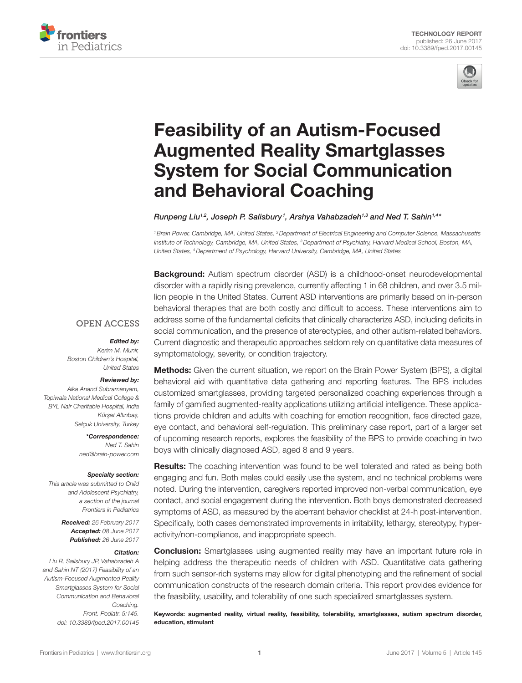



# [Feasibility of an Autism-Focused](http://www.frontiersin.org/Journal/10.3389/fped.2017.00145/abstract)  [Augmented Reality Smartglasses](http://www.frontiersin.org/Journal/10.3389/fped.2017.00145/abstract)  **System for Social Communication** and Behavioral Coaching

*[Runpeng Liu](http://loop.frontiersin.org/people/419373)1,2, [Joseph P. Salisbury](http://loop.frontiersin.org/people/420163) <sup>1</sup> , [Arshya Vahabzadeh1](http://loop.frontiersin.org/people/419037),3 and [Ned T. Sahin1](http://loop.frontiersin.org/people/8829),4\**

*1Brain Power, Cambridge, MA, United States, 2Department of Electrical Engineering and Computer Science, Massachusetts Institute of Technology, Cambridge, MA, United States, 3Department of Psychiatry, Harvard Medical School, Boston, MA, United States, 4Department of Psychology, Harvard University, Cambridge, MA, United States*

**Background:** Autism spectrum disorder (ASD) is a childhood-onset neurodevelopmental disorder with a rapidly rising prevalence, currently affecting 1 in 68 children, and over 3.5 million people in the United States. Current ASD interventions are primarily based on in-person behavioral therapies that are both costly and difficult to access. These interventions aim to address some of the fundamental deficits that clinically characterize ASD, including deficits in social communication, and the presence of stereotypies, and other autism-related behaviors. Current diagnostic and therapeutic approaches seldom rely on quantitative data measures of symptomatology, severity, or condition trajectory.

#### **OPEN ACCESS**

#### *Edited by:*

*Kerim M. Munir, Boston Children's Hospital, United States*

#### *Reviewed by:*

*Alka Anand Subramanyam, Topiwala National Medical College & BYL Nair Charitable Hospital, India Kürs¸at Altınbas¸, Selçuk University, Turkey*

> *\*Correspondence: Ned T. Sahin [ned@brain-power.com](mailto:ned@brain-power.com)*

#### *Specialty section:*

*This article was submitted to Child and Adolescent Psychiatry, a section of the journal Frontiers in Pediatrics*

> *Received: 26 February 2017 Accepted: 08 June 2017 Published: 26 June 2017*

#### *Citation:*

*Liu R, Salisbury JP, Vahabzadeh A and Sahin NT (2017) Feasibility of an Autism-Focused Augmented Reality Smartglasses System for Social Communication and Behavioral Coaching. Front. Pediatr. 5:145. doi: [10.3389/fped.2017.00145](https://doi.org/10.3389/fped.2017.00145)* **Methods:** Given the current situation, we report on the Brain Power System (BPS), a digital behavioral aid with quantitative data gathering and reporting features. The BPS includes customized smartglasses, providing targeted personalized coaching experiences through a family of gamified augmented-reality applications utilizing artificial intelligence. These applications provide children and adults with coaching for emotion recognition, face directed gaze, eye contact, and behavioral self-regulation. This preliminary case report, part of a larger set of upcoming research reports, explores the feasibility of the BPS to provide coaching in two boys with clinically diagnosed ASD, aged 8 and 9 years.

**Results:** The coaching intervention was found to be well tolerated and rated as being both engaging and fun. Both males could easily use the system, and no technical problems were noted. During the intervention, caregivers reported improved non-verbal communication, eye contact, and social engagement during the intervention. Both boys demonstrated decreased symptoms of ASD, as measured by the aberrant behavior checklist at 24-h post-intervention. Specifically, both cases demonstrated improvements in irritability, lethargy, stereotypy, hyperactivity/non-compliance, and inappropriate speech.

**Conclusion:** Smartglasses using augmented reality may have an important future role in helping address the therapeutic needs of children with ASD. Quantitative data gathering from such sensor-rich systems may allow for digital phenotyping and the refinement of social communication constructs of the research domain criteria. This report provides evidence for the feasibility, usability, and tolerability of one such specialized smartglasses system.

Keywords: augmented reality, virtual reality, feasibility, tolerability, smartglasses, autism spectrum disorder, education, stimulant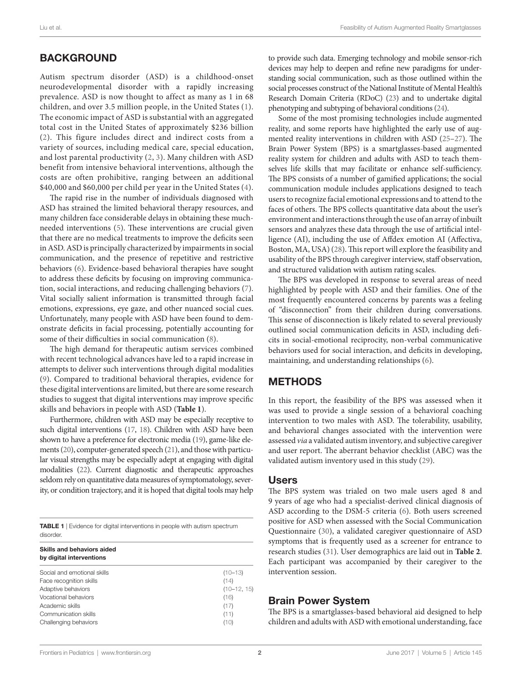# **BACKGROUND**

Autism spectrum disorder (ASD) is a childhood-onset neurodevelopmental disorder with a rapidly increasing prevalence. ASD is now thought to affect as many as 1 in 68 children, and over 3.5 million people, in the United States ([1](#page-6-8)). The economic impact of ASD is substantial with an aggregated total cost in the United States of approximately \$236 billion ([2\)](#page-6-9). This figure includes direct and indirect costs from a variety of sources, including medical care, special education, and lost parental productivity ([2](#page-6-9), [3\)](#page-6-10). Many children with ASD benefit from intensive behavioral interventions, although the costs are often prohibitive, ranging between an additional \$40,000 and \$60,000 per child per year in the United States ([4](#page-6-11)).

The rapid rise in the number of individuals diagnosed with ASD has strained the limited behavioral therapy resources, and many children face considerable delays in obtaining these muchneeded interventions ([5](#page-6-12)). These interventions are crucial given that there are no medical treatments to improve the deficits seen in ASD. ASD is principally characterized by impairments in social communication, and the presence of repetitive and restrictive behaviors [\(6\)](#page-6-13). Evidence-based behavioral therapies have sought to address these deficits by focusing on improving communication, social interactions, and reducing challenging behaviors [\(7\)](#page-6-14). Vital socially salient information is transmitted through facial emotions, expressions, eye gaze, and other nuanced social cues. Unfortunately, many people with ASD have been found to demonstrate deficits in facial processing, potentially accounting for some of their difficulties in social communication ([8](#page-6-15)).

The high demand for therapeutic autism services combined with recent technological advances have led to a rapid increase in attempts to deliver such interventions through digital modalities ([9](#page-6-16)). Compared to traditional behavioral therapies, evidence for these digital interventions are limited, but there are some research studies to suggest that digital interventions may improve specific skills and behaviors in people with ASD (**[Table 1](#page-1-0)**).

Furthermore, children with ASD may be especially receptive to such digital interventions [\(17,](#page-6-6) [18\)](#page-6-17). Children with ASD have been shown to have a preference for electronic media ([19](#page-6-18)), game-like elements [\(20\)](#page-6-19), computer-generated speech [\(21\)](#page-6-20), and those with particular visual strengths may be especially adept at engaging with digital modalities [\(22\)](#page-6-21). Current diagnostic and therapeutic approaches seldom rely on quantitative data measures of symptomatology, severity, or condition trajectory, and it is hoped that digital tools may help

<span id="page-1-0"></span>TABLE 1 | Evidence for digital interventions in people with autism spectrum disorder

| Skills and behaviors aided<br>by digital interventions |               |  |  |
|--------------------------------------------------------|---------------|--|--|
| Social and emotional skills                            | $(10-13)$     |  |  |
| Face recognition skills                                | (14)          |  |  |
| Adaptive behaviors                                     | $(10-12, 15)$ |  |  |
| Vocational behaviors                                   | (16)          |  |  |
| Academic skills                                        | (17)          |  |  |
| Communication skills                                   | (11)          |  |  |
| Challenging behaviors                                  | (10)          |  |  |

to provide such data. Emerging technology and mobile sensor-rich devices may help to deepen and refine new paradigms for understanding social communication, such as those outlined within the social processes construct of the National Institute of Mental Health's Research Domain Criteria (RDoC) [\(23\)](#page-6-22) and to undertake digital phenotyping and subtyping of behavioral conditions [\(24](#page-6-23)).

Some of the most promising technologies include augmented reality, and some reports have highlighted the early use of augmented reality interventions in children with ASD ([25–](#page-6-24)[27\)](#page-6-25). The Brain Power System (BPS) is a smartglasses-based augmented reality system for children and adults with ASD to teach themselves life skills that may facilitate or enhance self-sufficiency. The BPS consists of a number of gamified applications; the social communication module includes applications designed to teach users to recognize facial emotional expressions and to attend to the faces of others. The BPS collects quantitative data about the user's environment and interactions through the use of an array of inbuilt sensors and analyzes these data through the use of artificial intelligence (AI), including the use of Affdex emotion AI (Affectiva, Boston, MA, USA) [\(28](#page-6-26)). This report will explore the feasibility and usability of the BPS through caregiver interview, staff observation, and structured validation with autism rating scales.

The BPS was developed in response to several areas of need highlighted by people with ASD and their families. One of the most frequently encountered concerns by parents was a feeling of "disconnection" from their children during conversations. This sense of disconnection is likely related to several previously outlined social communication deficits in ASD, including deficits in social-emotional reciprocity, non-verbal communicative behaviors used for social interaction, and deficits in developing, maintaining, and understanding relationships ([6](#page-6-13)).

# METHODS

In this report, the feasibility of the BPS was assessed when it was used to provide a single session of a behavioral coaching intervention to two males with ASD. The tolerability, usability, and behavioral changes associated with the intervention were assessed *via* a validated autism inventory, and subjective caregiver and user report. The aberrant behavior checklist (ABC) was the validated autism inventory used in this study [\(29\)](#page-6-27).

#### Users

The BPS system was trialed on two male users aged 8 and 9 years of age who had a specialist-derived clinical diagnosis of ASD according to the DSM-5 criteria ([6](#page-6-13)). Both users screened positive for ASD when assessed with the Social Communication Questionnaire ([30\)](#page-6-28), a validated caregiver questionnaire of ASD symptoms that is frequently used as a screener for entrance to research studies ([31\)](#page-6-29). User demographics are laid out in **[Table 2](#page-2-0)**. Each participant was accompanied by their caregiver to the intervention session.

## Brain Power System

The BPS is a smartglasses-based behavioral aid designed to help children and adults with ASD with emotional understanding, face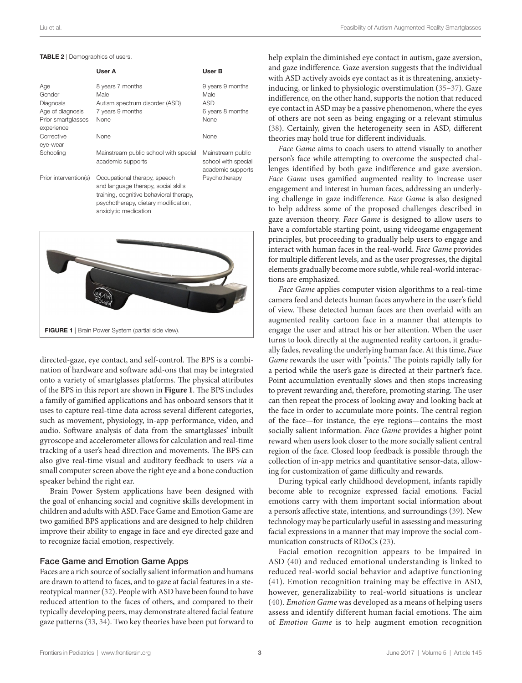#### <span id="page-2-0"></span>TABLE 2 | Demographics of users.

|                                  | User A                                                                                                                                                                          | User B                                                        |
|----------------------------------|---------------------------------------------------------------------------------------------------------------------------------------------------------------------------------|---------------------------------------------------------------|
| Age                              | 8 years 7 months                                                                                                                                                                | 9 years 9 months                                              |
| Gender                           | Male                                                                                                                                                                            | Male                                                          |
| Diagnosis                        | Autism spectrum disorder (ASD)                                                                                                                                                  | <b>ASD</b>                                                    |
| Age of diagnosis                 | 7 years 9 months                                                                                                                                                                | 6 years 8 months                                              |
| Prior smartglasses<br>experience | None                                                                                                                                                                            | None                                                          |
| Corrective<br>eye-wear           | None                                                                                                                                                                            | None                                                          |
| Schooling                        | Mainstream public school with special<br>academic supports                                                                                                                      | Mainstream public<br>school with special<br>academic supports |
| Prior intervention(s)            | Occupational therapy, speech<br>and language therapy, social skills<br>training, cognitive behavioral therapy,<br>psychotherapy, dietary modification,<br>anxiolytic medication | Psychotherapy                                                 |



<span id="page-2-1"></span>directed-gaze, eye contact, and self-control. The BPS is a combination of hardware and software add-ons that may be integrated onto a variety of smartglasses platforms. The physical attributes of the BPS in this report are shown in **[Figure 1](#page-2-1)**. The BPS includes a family of gamified applications and has onboard sensors that it uses to capture real-time data across several different categories, such as movement, physiology, in-app performance, video, and audio. Software analysis of data from the smartglasses' inbuilt gyroscope and accelerometer allows for calculation and real-time tracking of a user's head direction and movements. The BPS can also give real-time visual and auditory feedback to users *via* a small computer screen above the right eye and a bone conduction speaker behind the right ear.

Brain Power System applications have been designed with the goal of enhancing social and cognitive skills development in children and adults with ASD. Face Game and Emotion Game are two gamified BPS applications and are designed to help children improve their ability to engage in face and eye directed gaze and to recognize facial emotion, respectively.

#### Face Game and Emotion Game Apps

Faces are a rich source of socially salient information and humans are drawn to attend to faces, and to gaze at facial features in a stereotypical manner ([32](#page-6-30)). People with ASD have been found to have reduced attention to the faces of others, and compared to their typically developing peers, may demonstrate altered facial feature gaze patterns ([33](#page-6-31), [34](#page-6-32)). Two key theories have been put forward to help explain the diminished eye contact in autism, gaze aversion, and gaze indifference. Gaze aversion suggests that the individual with ASD actively avoids eye contact as it is threatening, anxietyinducing, or linked to physiologic overstimulation [\(35](#page-6-33)[–37\)](#page-6-34). Gaze indifference, on the other hand, supports the notion that reduced eye contact in ASD may be a passive phenomenon, where the eyes of others are not seen as being engaging or a relevant stimulus [\(38\)](#page-6-35). Certainly, given the heterogeneity seen in ASD, different theories may hold true for different individuals.

*Face Game* aims to coach users to attend visually to another person's face while attempting to overcome the suspected challenges identified by both gaze indifference and gaze aversion. *Face Game* uses gamified augmented reality to increase user engagement and interest in human faces, addressing an underlying challenge in gaze indifference. *Face Game* is also designed to help address some of the proposed challenges described in gaze aversion theory. *Face Game* is designed to allow users to have a comfortable starting point, using videogame engagement principles, but proceeding to gradually help users to engage and interact with human faces in the real-world. *Face Game* provides for multiple different levels, and as the user progresses, the digital elements gradually become more subtle, while real-world interactions are emphasized.

*Face Game* applies computer vision algorithms to a real-time camera feed and detects human faces anywhere in the user's field of view. These detected human faces are then overlaid with an augmented reality cartoon face in a manner that attempts to engage the user and attract his or her attention. When the user turns to look directly at the augmented reality cartoon, it gradually fades, revealing the underlying human face. At this time, *Face Game* rewards the user with "points." The points rapidly tally for a period while the user's gaze is directed at their partner's face. Point accumulation eventually slows and then stops increasing to prevent rewarding and, therefore, promoting staring. The user can then repeat the process of looking away and looking back at the face in order to accumulate more points. The central region of the face—for instance, the eye regions—contains the most socially salient information. *Face Game* provides a higher point reward when users look closer to the more socially salient central region of the face. Closed loop feedback is possible through the collection of in-app metrics and quantitative sensor-data, allowing for customization of game difficulty and rewards.

During typical early childhood development, infants rapidly become able to recognize expressed facial emotions. Facial emotions carry with them important social information about a person's affective state, intentions, and surroundings ([39\)](#page-6-36). New technology may be particularly useful in assessing and measuring facial expressions in a manner that may improve the social communication constructs of RDoCs [\(23\)](#page-6-22).

Facial emotion recognition appears to be impaired in ASD ([40\)](#page-7-0) and reduced emotional understanding is linked to reduced real-world social behavior and adaptive functioning ([41](#page-7-1)). Emotion recognition training may be effective in ASD, however, generalizability to real-world situations is unclear ([40](#page-7-0)). *Emotion Game* was developed as a means of helping users assess and identify different human facial emotions. The aim of *Emotion Game* is to help augment emotion recognition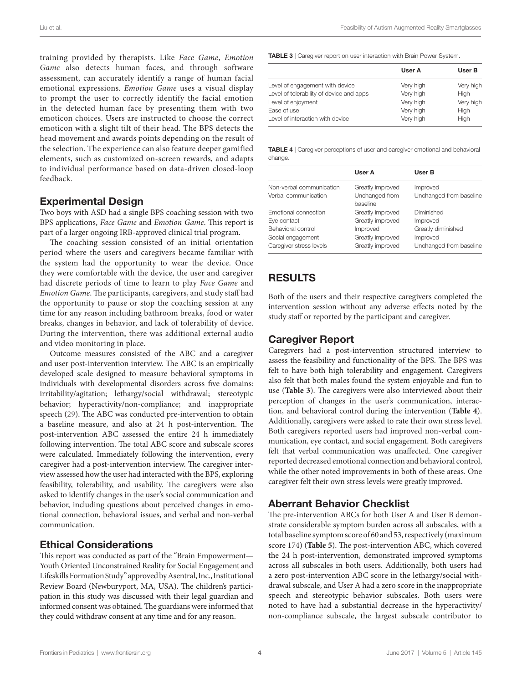training provided by therapists. Like *Face Game*, *Emotion Game* also detects human faces, and through software assessment, can accurately identify a range of human facial emotional expressions. *Emotion Game* uses a visual display to prompt the user to correctly identify the facial emotion in the detected human face by presenting them with two emoticon choices. Users are instructed to choose the correct emoticon with a slight tilt of their head. The BPS detects the head movement and awards points depending on the result of the selection. The experience can also feature deeper gamified elements, such as customized on-screen rewards, and adapts to individual performance based on data-driven closed-loop feedback.

## Experimental Design

Two boys with ASD had a single BPS coaching session with two BPS applications, *Face Game* and *Emotion Game*. This report is part of a larger ongoing IRB-approved clinical trial program.

The coaching session consisted of an initial orientation period where the users and caregivers became familiar with the system had the opportunity to wear the device. Once they were comfortable with the device, the user and caregiver had discrete periods of time to learn to play *Face Game* and *Emotion Game*. The participants, caregivers, and study staff had the opportunity to pause or stop the coaching session at any time for any reason including bathroom breaks, food or water breaks, changes in behavior, and lack of tolerability of device. During the intervention, there was additional external audio and video monitoring in place.

Outcome measures consisted of the ABC and a caregiver and user post-intervention interview. The ABC is an empirically developed scale designed to measure behavioral symptoms in individuals with developmental disorders across five domains: irritability/agitation; lethargy/social withdrawal; stereotypic behavior; hyperactivity/non-compliance; and inappropriate speech ([29\)](#page-6-27). The ABC was conducted pre-intervention to obtain a baseline measure, and also at 24 h post-intervention. The post-intervention ABC assessed the entire 24 h immediately following intervention. The total ABC score and subscale scores were calculated. Immediately following the intervention, every caregiver had a post-intervention interview. The caregiver interview assessed how the user had interacted with the BPS, exploring feasibility, tolerability, and usability. The caregivers were also asked to identify changes in the user's social communication and behavior, including questions about perceived changes in emotional connection, behavioral issues, and verbal and non-verbal communication.

## Ethical Considerations

This report was conducted as part of the "Brain Empowerment— Youth Oriented Unconstrained Reality for Social Engagement and Lifeskills Formation Study" approved by Asentral, Inc., Institutional Review Board (Newburyport, MA, USA). The children's participation in this study was discussed with their legal guardian and informed consent was obtained. The guardians were informed that they could withdraw consent at any time and for any reason.

<span id="page-3-0"></span>TABLE 3 | Caregiver report on user interaction with Brain Power System.

|                                          | User A    | User B    |
|------------------------------------------|-----------|-----------|
| Level of engagement with device          | Very high | Very high |
| Level of tolerability of device and apps | Very high | High      |
| Level of enjoyment                       | Very high | Very high |
| Ease of use                              | Very high | High      |
| Level of interaction with device         | Very high | High      |

<span id="page-3-1"></span>TABLE 4 | Caregiver perceptions of user and caregiver emotional and behavioral change

| User A<br>User B                                                              |  |
|-------------------------------------------------------------------------------|--|
|                                                                               |  |
| Non-verbal communication<br>Greatly improved<br>Improved                      |  |
| Unchanged from<br>Unchanged from baseline<br>Verbal communication<br>baseline |  |
| Greatly improved<br>Diminished<br>Emotional connection                        |  |
| Greatly improved<br>Improved<br>Eye contact                                   |  |
| Greatly diminished<br>Behavioral control<br>Improved                          |  |
| Social engagement<br>Greatly improved<br>Improved                             |  |
| Caregiver stress levels<br>Greatly improved<br>Unchanged from baseline        |  |

# RESULTS

Both of the users and their respective caregivers completed the intervention session without any adverse effects noted by the study staff or reported by the participant and caregiver.

### Caregiver Report

Caregivers had a post-intervention structured interview to assess the feasibility and functionality of the BPS. The BPS was felt to have both high tolerability and engagement. Caregivers also felt that both males found the system enjoyable and fun to use (**[Table 3](#page-3-0)**). The caregivers were also interviewed about their perception of changes in the user's communication, interaction, and behavioral control during the intervention (**[Table 4](#page-3-1)**). Additionally, caregivers were asked to rate their own stress level. Both caregivers reported users had improved non-verbal communication, eye contact, and social engagement. Both caregivers felt that verbal communication was unaffected. One caregiver reported decreased emotional connection and behavioral control, while the other noted improvements in both of these areas. One caregiver felt their own stress levels were greatly improved.

# Aberrant Behavior Checklist

The pre-intervention ABCs for both User A and User B demonstrate considerable symptom burden across all subscales, with a total baseline symptom score of 60 and 53, respectively (maximum score 174) (**[Table 5](#page-4-0)**). The post-intervention ABC, which covered the 24 h post-intervention, demonstrated improved symptoms across all subscales in both users. Additionally, both users had a zero post-intervention ABC score in the lethargy/social withdrawal subscale, and User A had a zero score in the inappropriate speech and stereotypic behavior subscales. Both users were noted to have had a substantial decrease in the hyperactivity/ non-compliance subscale, the largest subscale contributor to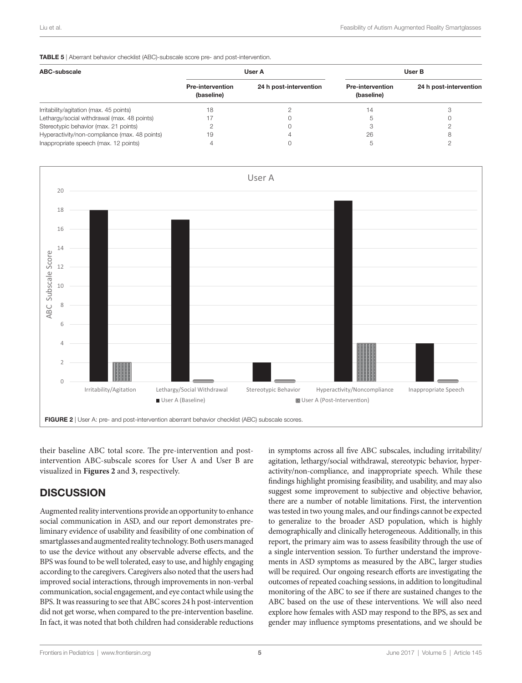#### <span id="page-4-0"></span>TABLE 5 | Aberrant behavior checklist (ABC)-subscale score pre- and post-intervention.

| ABC-subscale                                  | User A                                |                        | User B                                |                        |
|-----------------------------------------------|---------------------------------------|------------------------|---------------------------------------|------------------------|
|                                               | <b>Pre-intervention</b><br>(baseline) | 24 h post-intervention | <b>Pre-intervention</b><br>(baseline) | 24 h post-intervention |
| Irritability/agitation (max. 45 points)       | 18                                    |                        | 14                                    |                        |
| Lethargy/social withdrawal (max. 48 points)   |                                       |                        |                                       |                        |
| Stereotypic behavior (max. 21 points)         |                                       |                        |                                       |                        |
| Hyperactivity/non-compliance (max. 48 points) | 19                                    |                        | 26                                    |                        |
| Inappropriate speech (max. 12 points)         |                                       |                        | h                                     |                        |



<span id="page-4-1"></span>their baseline ABC total score. The pre-intervention and postintervention ABC-subscale scores for User A and User B are visualized in **[Figures 2](#page-4-1)** and **[3](#page-5-0)**, respectively.

# **DISCUSSION**

Augmented reality interventions provide an opportunity to enhance social communication in ASD, and our report demonstrates preliminary evidence of usability and feasibility of one combination of smartglasses and augmented reality technology. Both users managed to use the device without any observable adverse effects, and the BPS was found to be well tolerated, easy to use, and highly engaging according to the caregivers. Caregivers also noted that the users had improved social interactions, through improvements in non-verbal communication, social engagement, and eye contact while using the BPS. It was reassuring to see that ABC scores 24 h post-intervention did not get worse, when compared to the pre-intervention baseline. In fact, it was noted that both children had considerable reductions in symptoms across all five ABC subscales, including irritability/ agitation, lethargy/social withdrawal, stereotypic behavior, hyperactivity/non-compliance, and inappropriate speech. While these findings highlight promising feasibility, and usability, and may also suggest some improvement to subjective and objective behavior, there are a number of notable limitations. First, the intervention was tested in two young males, and our findings cannot be expected to generalize to the broader ASD population, which is highly demographically and clinically heterogeneous. Additionally, in this report, the primary aim was to assess feasibility through the use of a single intervention session. To further understand the improvements in ASD symptoms as measured by the ABC, larger studies will be required. Our ongoing research efforts are investigating the outcomes of repeated coaching sessions, in addition to longitudinal monitoring of the ABC to see if there are sustained changes to the ABC based on the use of these interventions. We will also need explore how females with ASD may respond to the BPS, as sex and gender may influence symptoms presentations, and we should be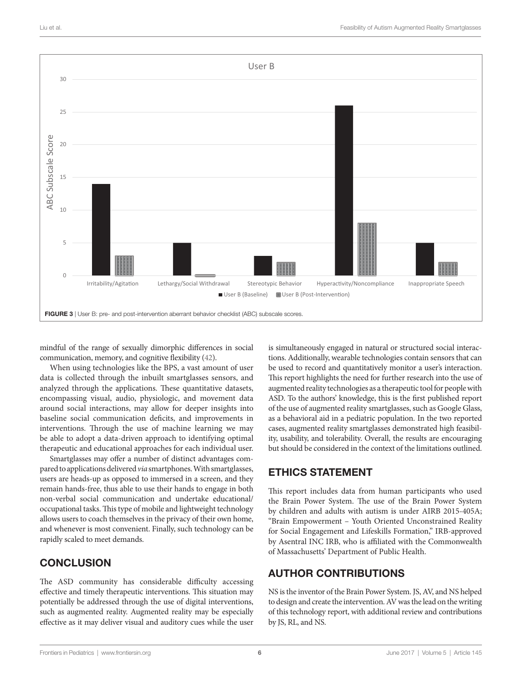

<span id="page-5-0"></span>mindful of the range of sexually dimorphic differences in social communication, memory, and cognitive flexibility [\(42](#page-7-2)).

When using technologies like the BPS, a vast amount of user data is collected through the inbuilt smartglasses sensors, and analyzed through the applications. These quantitative datasets, encompassing visual, audio, physiologic, and movement data around social interactions, may allow for deeper insights into baseline social communication deficits, and improvements in interventions. Through the use of machine learning we may be able to adopt a data-driven approach to identifying optimal therapeutic and educational approaches for each individual user.

Smartglasses may offer a number of distinct advantages compared to applications delivered *via* smartphones. With smartglasses, users are heads-up as opposed to immersed in a screen, and they remain hands-free, thus able to use their hands to engage in both non-verbal social communication and undertake educational/ occupational tasks. This type of mobile and lightweight technology allows users to coach themselves in the privacy of their own home, and whenever is most convenient. Finally, such technology can be rapidly scaled to meet demands.

# **CONCLUSION**

The ASD community has considerable difficulty accessing effective and timely therapeutic interventions. This situation may potentially be addressed through the use of digital interventions, such as augmented reality. Augmented reality may be especially effective as it may deliver visual and auditory cues while the user is simultaneously engaged in natural or structured social interactions. Additionally, wearable technologies contain sensors that can be used to record and quantitatively monitor a user's interaction. This report highlights the need for further research into the use of augmented reality technologies as a therapeutic tool for people with ASD. To the authors' knowledge, this is the first published report of the use of augmented reality smartglasses, such as Google Glass, as a behavioral aid in a pediatric population. In the two reported cases, augmented reality smartglasses demonstrated high feasibility, usability, and tolerability. Overall, the results are encouraging but should be considered in the context of the limitations outlined.

# ETHICS STATEMENT

This report includes data from human participants who used the Brain Power System. The use of the Brain Power System by children and adults with autism is under AIRB 2015-405A; "Brain Empowerment – Youth Oriented Unconstrained Reality for Social Engagement and Lifeskills Formation," IRB-approved by Asentral INC IRB, who is affiliated with the Commonwealth of Massachusetts' Department of Public Health.

# AUTHOR CONTRIBUTIONS

NS is the inventor of the Brain Power System. JS, AV, and NS helped to design and create the intervention. AV was the lead on the writing of this technology report, with additional review and contributions by JS, RL, and NS.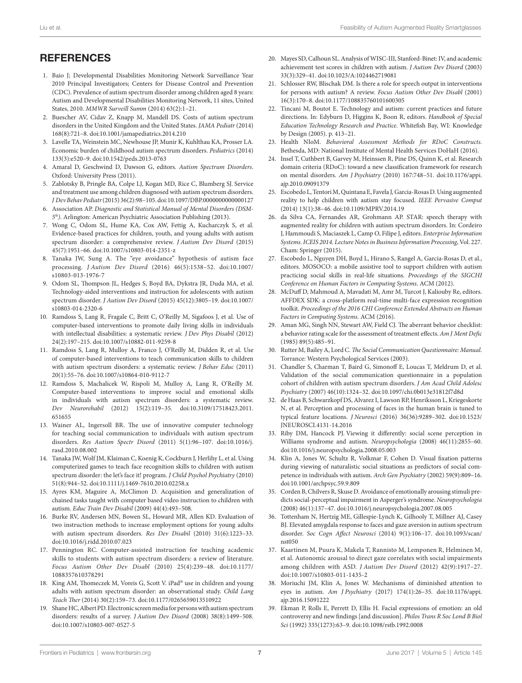# **REFERENCES**

- <span id="page-6-8"></span>1. Baio J; Developmental Disabilities Monitoring Network Surveillance Year 2010 Principal Investigators; Centers for Disease Control and Prevention (CDC). Prevalence of autism spectrum disorder among children aged 8 years: Autism and Developmental Disabilities Monitoring Network, 11 sites, United States, 2010. *MMWR Surveill Summ* (2014) 63(2):1–21.
- <span id="page-6-9"></span>2. Buescher AV, Cidav Z, Knapp M, Mandell DS. Costs of autism spectrum disorders in the United Kingdom and the United States. *JAMA Pediatr* (2014) 168(8):721–8. doi:[10.1001/jamapediatrics.2014.210](https://doi.org/10.1001/jamapediatrics.2014.210)
- <span id="page-6-10"></span>3. Lavelle TA, Weinstein MC, Newhouse JP, Munir K, Kuhlthau KA, Prosser LA. Economic burden of childhood autism spectrum disorders. *Pediatrics* (2014) 133(3):e520–9. doi:[10.1542/peds.2013-0763](https://doi.org/10.1542/peds.2013-0763)
- <span id="page-6-11"></span>4. Amaral D, Geschwind D, Dawson G, editors. *Autism Spectrum Disorders*. Oxford: University Press (2011).
- <span id="page-6-12"></span>5. Zablotsky B, Pringle BA, Colpe LJ, Kogan MD, Rice C, Blumberg SJ. Service and treatment use among children diagnosed with autism spectrum disorders. *J Dev Behav Pediatr* (2015) 36(2):98–105. doi[:10.1097/DBP.0000000000000127](https://doi.org/10.1097/DBP.0000000000000127)
- <span id="page-6-13"></span>6. Association AP. *Diagnostic and Statistical Manual of Mental Disorders (DSM-5*®*)*. Arlington: American Psychiatric Association Publishing (2013).
- <span id="page-6-14"></span>7. Wong C, Odom SL, Hume KA, Cox AW, Fettig A, Kucharczyk S, et al. Evidence-based practices for children, youth, and young adults with autism spectrum disorder: a comprehensive review. *J Autism Dev Disord* (2015) 45(7):1951–66. doi[:10.1007/s10803-014-2351-z](https://doi.org/10.1007/s10803-014-2351-z)
- <span id="page-6-15"></span>8. Tanaka JW, Sung A. The "eye avoidance" hypothesis of autism face processing. *J Autism Dev Disord* (2016) 46(5):1538–52. doi[:10.1007/](https://doi.org/10.1007/s10803-013-1976-7) [s10803-013-1976-7](https://doi.org/10.1007/s10803-013-1976-7)
- <span id="page-6-16"></span>9. Odom SL, Thompson JL, Hedges S, Boyd BA, Dykstra JR, Duda MA, et al. Technology-aided interventions and instruction for adolescents with autism spectrum disorder. *J Autism Dev Disord* (2015) 45(12):3805–19. doi[:10.1007/](https://doi.org/10.1007/s10803-014-2320-6) [s10803-014-2320-6](https://doi.org/10.1007/s10803-014-2320-6)
- <span id="page-6-0"></span>10. Ramdoss S, Lang R, Fragale C, Britt C, O'Reilly M, Sigafoos J, et al. Use of computer-based interventions to promote daily living skills in individuals with intellectual disabilities: a systematic review. *J Dev Phys Disabil* (2012) 24(2):197–215. doi[:10.1007/s10882-011-9259-8](https://doi.org/10.1007/s10882-011-9259-8)
- <span id="page-6-7"></span>11. Ramdoss S, Lang R, Mulloy A, Franco J, O'Reilly M, Didden R, et al. Use of computer-based interventions to teach communication skills to children with autism spectrum disorders: a systematic review. *J Behav Educ* (2011) 20(1):55–76. doi[:10.1007/s10864-010-9112-7](https://doi.org/10.1007/s10864-010-9112-7)
- <span id="page-6-3"></span>12. Ramdoss S, Machalicek W, Rispoli M, Mulloy A, Lang R, O'Reilly M. Computer-based interventions to improve social and emotional skills in individuals with autism spectrum disorders: a systematic review. *Dev Neurorehabil* (2012) 15(2):119–35. doi:[10.3109/17518423.2011.](https://doi.org/10.3109/17518423.2011.651655) [651655](https://doi.org/10.3109/17518423.2011.651655)
- <span id="page-6-1"></span>13. Wainer AL, Ingersoll BR. The use of innovative computer technology for teaching social communication to individuals with autism spectrum disorders. *Res Autism Spectr Disord* (2011) 5(1):96–107. doi[:10.1016/j.](https://doi.org/10.1016/j.rasd.2010.08.002) [rasd.2010.08.002](https://doi.org/10.1016/j.rasd.2010.08.002)
- <span id="page-6-2"></span>14. Tanaka JW, Wolf JM, Klaiman C, Koenig K, Cockburn J, Herlihy L, et al. Using computerized games to teach face recognition skills to children with autism spectrum disorder: the let's face it! program. *J Child Psychol Psychiatry* (2010) 51(8):944–52. doi:[10.1111/j.1469-7610.2010.02258.x](https://doi.org/10.1111/j.1469-7610.2010.02258.x)
- <span id="page-6-4"></span>15. Ayres KM, Maguire A, McClimon D. Acquisition and generalization of chained tasks taught with computer based video instruction to children with autism. *Educ Train Dev Disabil* (2009) 44(4):493–508.
- <span id="page-6-5"></span>16. Burke RV, Andersen MN, Bowen SL, Howard MR, Allen KD. Evaluation of two instruction methods to increase employment options for young adults with autism spectrum disorders. *Res Dev Disabil* (2010) 31(6):1223–33. doi:[10.1016/j.ridd.2010.07.023](https://doi.org/10.1016/j.ridd.2010.07.023)
- <span id="page-6-6"></span>17. Pennington RC. Computer-assisted instruction for teaching academic skills to students with autism spectrum disorders: a review of literature. *Focus Autism Other Dev Disabl* (2010) 25(4):239–48. doi:[10.1177/](https://doi.org/10.1177/1088357610378291) [1088357610378291](https://doi.org/10.1177/1088357610378291)
- <span id="page-6-17"></span>18. King AM, Thomeczek M, Voreis G, Scott V. iPad® use in children and young adults with autism spectrum disorder: an observational study. *Child Lang Teach Ther* (2014) 30(2):159–73. doi:[10.1177/0265659013510922](https://doi.org/10.1177/0265659013510922)
- <span id="page-6-18"></span>19. Shane HC, Albert PD. Electronic screen media for persons with autism spectrum disorders: results of a survey. *J Autism Dev Disord* (2008) 38(8):1499–508. doi:[10.1007/s10803-007-0527-5](https://doi.org/10.1007/s10803-007-0527-5)
- <span id="page-6-19"></span>20. Mayes SD, Calhoun SL. Analysis of WISC-III, Stanford-Binet: IV, and academic achievement test scores in children with autism. *J Autism Dev Disord* (2003) 33(3):329–41. doi:[10.1023/A:1024462719081](https://doi.org/10.1023/A:1024462719081)
- <span id="page-6-20"></span>21. Schlosser RW, Blischak DM. Is there a role for speech output in interventions for persons with autism? A review. *Focus Autism Other Dev Disabl* (2001) 16(3):170–8. doi:[10.1177/108835760101600305](https://doi.org/10.1177/108835760101600305)
- <span id="page-6-21"></span>22. Tincani M, Boutot E. Technology and autism: current practices and future directions. In: Edyburn D, Higgins K, Boon R, editors. *Handbook of Special Education Technology Research and Practice*. Whitefish Bay, WI: Knowledge by Design (2005). p. 413–21.
- <span id="page-6-22"></span>23. Health NIoM. *Behavioral Assessment Methods for RDoC Constructs*. Bethesda, MD: National Institute of Mental Health Services DoHaH (2016).
- <span id="page-6-23"></span>24. Insel T, Cuthbert B, Garvey M, Heinssen R, Pine DS, Quinn K, et al. Research domain criteria (RDoC): toward a new classification framework for research on mental disorders. *Am J Psychiatry* (2010) 167:748–51. doi:[10.1176/appi.](https://doi.org/10.1176/appi.ajp.2010.09091379) [ajp.2010.09091379](https://doi.org/10.1176/appi.ajp.2010.09091379)
- <span id="page-6-24"></span>25. Escobedo L, Tentori M, Quintana E, Favela J, Garcia-Rosas D. Using augmented reality to help children with autism stay focused. *IEEE Pervasive Comput* (2014) 13(1):38–46. doi:[10.1109/MPRV.2014.19](https://doi.org/10.1109/MPRV.2014.19)
- 26. da Silva CA, Fernandes AR, Grohmann AP. STAR: speech therapy with augmented reality for children with autism spectrum disorders. In: Cordeiro J, Hammoudi S, Maciaszek L, Camp O, Filipe J, editors. *Enterprise Information Systems. ICEIS 2014. Lecture Notes in Business Information Processing*, Vol. 227. Cham: Springer (2015).
- <span id="page-6-25"></span>27. Escobedo L, Nguyen DH, Boyd L, Hirano S, Rangel A, Garcia-Rosas D, et al., editors. MOSOCO: a mobile assistive tool to support children with autism practicing social skills in real-life situations. *Proceedings of the SIGCHI Conference on Human Factors in Computing Systems*. ACM (2012).
- <span id="page-6-26"></span>28. McDuff D, Mahmoud A, Mavadati M, Amr M, Turcot J, Kaliouby Re, editors. AFFDEX SDK: a cross-platform real-time multi-face expression recognition toolkit. *Proceedings of the 2016 CHI Conference Extended Abstracts on Human Factors in Computing Systems*. ACM (2016).
- <span id="page-6-27"></span>29. Aman MG, Singh NN, Stewart AW, Field CJ. The aberrant behavior checklist: a behavior rating scale for the assessment of treatment effects. *Am J Ment Defic* (1985) 89(5):485–91.
- <span id="page-6-28"></span>30. Rutter M, Bailey A, Lord C. *The Social Communication Questionnaire: Manual*. Torrance: Western Psychological Services (2003).
- <span id="page-6-29"></span>31. Chandler S, Charman T, Baird G, Simonoff E, Loucas T, Meldrum D, et al. Validation of the social communication questionnaire in a population cohort of children with autism spectrum disorders. *J Am Acad Child Adolesc Psychiatry* (2007) 46(10):1324–32. doi[:10.1097/chi.0b013e31812f7d8d](https://doi.org/10.1097/chi.0b013e31812f7d8d)
- <span id="page-6-30"></span>32. de Haas B, Schwarzkopf DS, Alvarez I, Lawson RP, Henriksson L, Kriegeskorte N, et al. Perception and processing of faces in the human brain is tuned to typical feature locations. *J Neurosci* (2016) 36(36):9289–302. doi:[10.1523/](https://doi.org/10.1523/JNEUROSCI.4131-14.2016) [JNEUROSCI.4131-14.2016](https://doi.org/10.1523/JNEUROSCI.4131-14.2016)
- <span id="page-6-31"></span>33. Riby DM, Hancock PJ. Viewing it differently: social scene perception in Williams syndrome and autism. *Neuropsychologia* (2008) 46(11):2855–60. doi:[10.1016/j.neuropsychologia.2008.05.003](https://doi.org/10.1016/j.neuropsychologia.2008.05.003)
- <span id="page-6-32"></span>34. Klin A, Jones W, Schultz R, Volkmar F, Cohen D. Visual fixation patterns during viewing of naturalistic social situations as predictors of social competence in individuals with autism. *Arch Gen Psychiatry* (2002) 59(9):809–16. doi:[10.1001/archpsyc.59.9.809](https://doi.org/10.1001/archpsyc.59.9.809)
- <span id="page-6-33"></span>35. Corden B, Chilvers R, Skuse D. Avoidance of emotionally arousing stimuli predicts social-perceptual impairment in Asperger's syndrome. *Neuropsychologia* (2008) 46(1):137–47. doi:[10.1016/j.neuropsychologia.2007.08.005](https://doi.org/10.1016/j.neuropsychologia.2007.08.005)
- 36. Tottenham N, Hertzig ME, Gillespie-Lynch K, Gilhooly T, Millner AJ, Casey BJ. Elevated amygdala response to faces and gaze aversion in autism spectrum disorder. *Soc Cogn Affect Neurosci* (2014) 9(1):106–17. doi[:10.1093/scan/](https://doi.org/10.1093/scan/nst050) [nst050](https://doi.org/10.1093/scan/nst050)
- <span id="page-6-34"></span>37. Kaartinen M, Puura K, Makela T, Rannisto M, Lemponen R, Helminen M, et al. Autonomic arousal to direct gaze correlates with social impairments among children with ASD. *J Autism Dev Disord* (2012) 42(9):1917–27. doi:[10.1007/s10803-011-1435-2](https://doi.org/10.1007/s10803-011-1435-2)
- <span id="page-6-35"></span>38. Moriuchi JM, Klin A, Jones W. Mechanisms of diminished attention to eyes in autism. *Am J Psychiatry* (2017) 174(1):26–35. doi:[10.1176/appi.](https://doi.org/10.1176/appi.ajp.2016.15091222) [ajp.2016.15091222](https://doi.org/10.1176/appi.ajp.2016.15091222)
- <span id="page-6-36"></span>39. Ekman P, Rolls E, Perrett D, Ellis H. Facial expressions of emotion: an old controversy and new findings [and discussion]. *Philos Trans R Soc Lond B Biol Sci* (1992) 335(1273):63–9. doi[:10.1098/rstb.1992.0008](https://doi.org/10.1098/rstb.1992.0008)